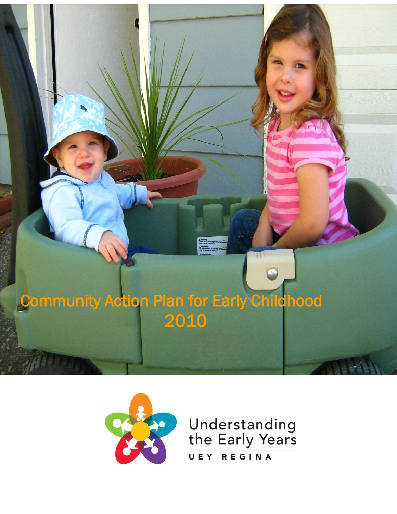



 $\overline{\phantom{a}}$ **UEY** REGINA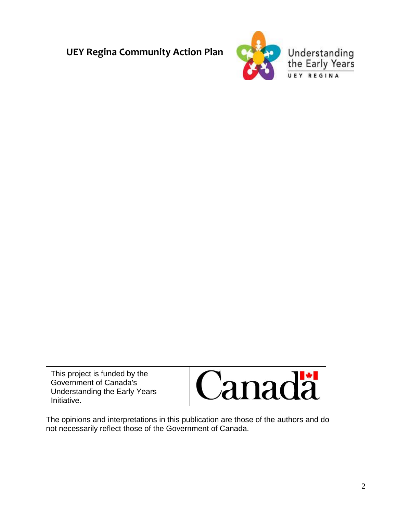

This project is funded by the Government of Canada's Understanding the Early Years Initiative.

Γ

L



The opinions and interpretations in this publication are those of the authors and do not necessarily reflect those of the Government of Canada.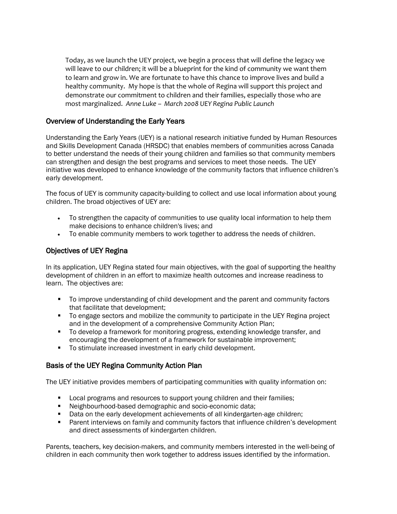Today, as we launch the UEY project, we begin a process that will define the legacy we will leave to our children; it will be a blueprint for the kind of community we want them to learn and grow in. We are fortunate to have this chance to improve lives and build a healthy community. My hope is that the whole of Regina will support this project and demonstrate our commitment to children and their families, especially those who are most marginalized. *Anne Luke – March 2008 UEY Regina Public Launch*

### Overview of Understanding the Early Years

Understanding the Early Years (UEY) is a national research initiative funded by Human Resources and Skills Development Canada (HRSDC) that enables members of communities across Canada to better understand the needs of their young children and families so that community members can strengthen and design the best programs and services to meet those needs. The UEY initiative was developed to enhance knowledge of the community factors that influence children's early development.

The focus of UEY is community capacity-building to collect and use local information about young children. The broad objectives of UEY are:

- To strengthen the capacity of communities to use quality local information to help them make decisions to enhance children's lives; and
- To enable community members to work together to address the needs of children.

### Objectives of UEY Regina

In its application, UEY Regina stated four main objectives, with the goal of supporting the healthy development of children in an effort to maximize health outcomes and increase readiness to learn. The objectives are:

- To improve understanding of child development and the parent and community factors that facilitate that development;
- To engage sectors and mobilize the community to participate in the UEY Regina project and in the development of a comprehensive Community Action Plan;
- To develop a framework for monitoring progress, extending knowledge transfer, and encouraging the development of a framework for sustainable improvement;
- To stimulate increased investment in early child development.

### Basis of the UEY Regina Community Action Plan

The UEY initiative provides members of participating communities with quality information on:

- **Local programs and resources to support young children and their families;**
- Neighbourhood-based demographic and socio-economic data;
- Data on the early development achievements of all kindergarten-age children;
- Parent interviews on family and community factors that influence children's development and direct assessments of kindergarten children.

Parents, teachers, key decision-makers, and community members interested in the well-being of children in each community then work together to address issues identified by the information.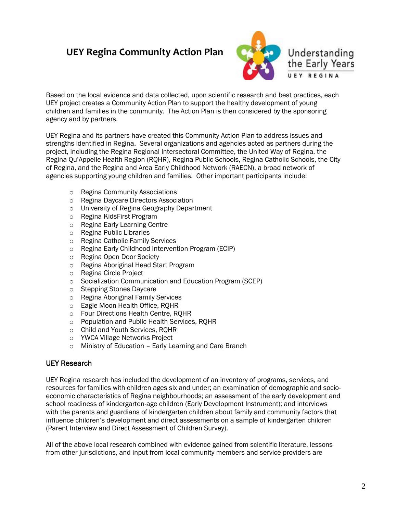

Based on the local evidence and data collected, upon scientific research and best practices, each UEY project creates a Community Action Plan to support the healthy development of young children and families in the community. The Action Plan is then considered by the sponsoring agency and by partners.

UEY Regina and its partners have created this Community Action Plan to address issues and strengths identified in Regina. Several organizations and agencies acted as partners during the project, including the Regina Regional Intersectoral Committee, the United Way of Regina, the Regina Qu'Appelle Health Region (RQHR), Regina Public Schools, Regina Catholic Schools, the City of Regina, and the Regina and Area Early Childhood Network (RAECN), a broad network of agencies supporting young children and families. Other important participants include:

- o Regina Community Associations
- o Regina Daycare Directors Association
- o University of Regina Geography Department
- o Regina KidsFirst Program
- o Regina Early Learning Centre
- o Regina Public Libraries
- o Regina Catholic Family Services
- o Regina Early Childhood Intervention Program (ECIP)
- o Regina Open Door Society
- o Regina Aboriginal Head Start Program
- o Regina Circle Project
- o Socialization Communication and Education Program (SCEP)
- o Stepping Stones Daycare
- o Regina Aboriginal Family Services
- o Eagle Moon Health Office, RQHR
- o Four Directions Health Centre, RQHR
- o Population and Public Health Services, RQHR
- o Child and Youth Services, RQHR
- o YWCA Village Networks Project
- o Ministry of Education Early Learning and Care Branch

### UEY Research

UEY Regina research has included the development of an inventory of programs, services, and resources for families with children ages six and under; an examination of demographic and socioeconomic characteristics of Regina neighbourhoods; an assessment of the early development and school readiness of kindergarten-age children (Early Development Instrument); and interviews with the parents and guardians of kindergarten children about family and community factors that influence children's development and direct assessments on a sample of kindergarten children (Parent Interview and Direct Assessment of Children Survey).

All of the above local research combined with evidence gained from scientific literature, lessons from other jurisdictions, and input from local community members and service providers are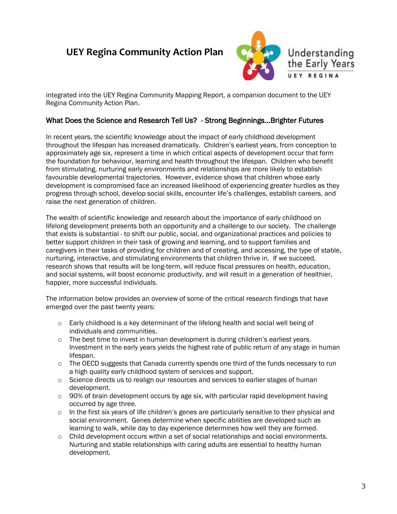

integrated into the UEY Regina Community Mapping Report, a companion document to the UEY Regina Community Action Plan.

### What Does the Science and Research Tell Us? - Strong Beginnings…Brighter Futures

In recent years, the scientific knowledge about the impact of early childhood development throughout the lifespan has increased dramatically. Children's earliest years, from conception to approximately age six, represent a time in which critical aspects of development occur that form the foundation for behaviour, learning and health throughout the lifespan. Children who benefit from stimulating, nurturing early environments and relationships are more likely to establish favourable developmental trajectories. However, evidence shows that children whose early development is compromised face an increased likelihood of experiencing greater hurdles as they progress through school, develop social skills, encounter life's challenges, establish careers, and raise the next generation of children.

The wealth of scientific knowledge and research about the importance of early childhood on lifelong development presents both an opportunity and a challenge to our society. The challenge that exists is substantial - to shift our public, social, and organizational practices and policies to better support children in their task of growing and learning, and to support families and caregivers in their tasks of providing for children and of creating, and accessing, the type of stable, nurturing, interactive, and stimulating environments that children thrive in. If we succeed, research shows that results will be long-term, will reduce fiscal pressures on health, education, and social systems, will boost economic productivity, and will result in a generation of healthier, happier, more successful individuals.

The information below provides an overview of some of the critical research findings that have emerged over the past twenty years:

- $\circ$  Early childhood is a key determinant of the lifelong health and social well being of individuals and communities.
- $\circ$  The best time to invest in human development is during children's earliest vears. Investment in the early years yields the highest rate of public return of any stage in human lifespan.
- $\circ$  The OECD suggests that Canada currently spends one third of the funds necessary to run a high quality early childhood system of services and support.
- o Science directs us to realign our resources and services to earlier stages of human development.
- o 90% of brain development occurs by age six, with particular rapid development having occurred by age three.
- $\circ$  In the first six years of life children's genes are particularly sensitive to their physical and social environment. Genes determine when specific abilities are developed such as learning to walk, while day to day experience determines how well they are formed.
- $\circ$  Child development occurs within a set of social relationships and social environments. Nurturing and stable relationships with caring adults are essential to healthy human development.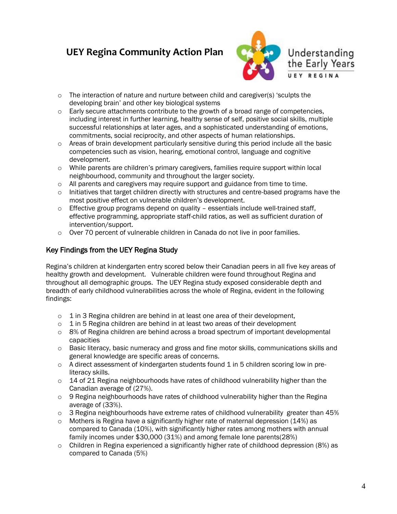

- $\circ$  The interaction of nature and nurture between child and caregiver(s) 'sculpts the developing brain' and other key biological systems
- $\circ$  Early secure attachments contribute to the growth of a broad range of competencies, including interest in further learning, healthy sense of self, positive social skills, multiple successful relationships at later ages, and a sophisticated understanding of emotions, commitments, social reciprocity, and other aspects of human relationships.
- $\circ$  Areas of brain development particularly sensitive during this period include all the basic competencies such as vision, hearing, emotional control, language and cognitive development.
- $\circ$  While parents are children's primary caregivers, families require support within local neighbourhood, community and throughout the larger society.
- $\circ$  All parents and caregivers may require support and guidance from time to time.
- $\circ$  Initiatives that target children directly with structures and centre-based programs have the most positive effect on vulnerable children's development.
- o Effective group programs depend on quality essentials include well-trained staff, effective programming, appropriate staff-child ratios, as well as sufficient duration of intervention/support.
- $\circ$  Over 70 percent of vulnerable children in Canada do not live in poor families.

### Key Findings from the UEY Regina Study

Regina's children at kindergarten entry scored below their Canadian peers in all five key areas of healthy growth and development. Vulnerable children were found throughout Regina and throughout all demographic groups. The UEY Regina study exposed considerable depth and breadth of early childhood vulnerabilities across the whole of Regina, evident in the following findings:

- o 1 in 3 Regina children are behind in at least one area of their development,
- o 1 in 5 Regina children are behind in at least two areas of their development
- $\circ$  8% of Regina children are behind across a broad spectrum of important developmental capacities
- o Basic literacy, basic numeracy and gross and fine motor skills, communications skills and general knowledge are specific areas of concerns.
- $\circ$  A direct assessment of kindergarten students found 1 in 5 children scoring low in preliteracy skills.
- $\circ$  14 of 21 Regina neighbourhoods have rates of childhood vulnerability higher than the Canadian average of (27%).
- $\circ$  9 Regina neighbourhoods have rates of childhood vulnerability higher than the Regina average of (33%).
- $\circ$  3 Regina neighbourhoods have extreme rates of childhood vulnerability greater than 45%
- o Mothers is Regina have a significantly higher rate of maternal depression (14%) as compared to Canada (10%), with significantly higher rates among mothers with annual family incomes under \$30,000 (31%) and among female lone parents(28%)
- $\circ$  Children in Regina experienced a significantly higher rate of childhood depression (8%) as compared to Canada (5%)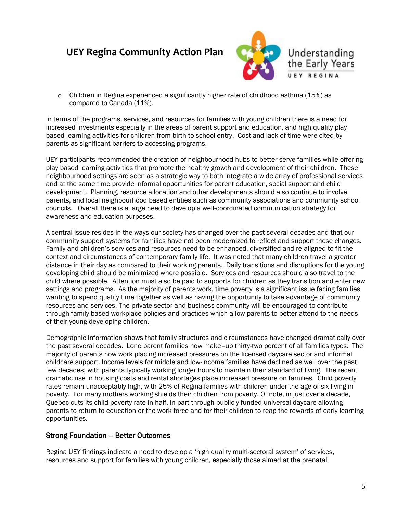

 $\circ$  Children in Regina experienced a significantly higher rate of childhood asthma (15%) as compared to Canada (11%).

In terms of the programs, services, and resources for families with young children there is a need for increased investments especially in the areas of parent support and education, and high quality play based learning activities for children from birth to school entry. Cost and lack of time were cited by parents as significant barriers to accessing programs.

UEY participants recommended the creation of neighbourhood hubs to better serve families while offering play based learning activities that promote the healthy growth and development of their children. These neighbourhood settings are seen as a strategic way to both integrate a wide array of professional services and at the same time provide informal opportunities for parent education, social support and child development. Planning, resource allocation and other developments should also continue to involve parents, and local neighbourhood based entities such as community associations and community school councils. Overall there is a large need to develop a well-coordinated communication strategy for awareness and education purposes.

A central issue resides in the ways our society has changed over the past several decades and that our community support systems for families have not been modernized to reflect and support these changes. Family and children's services and resources need to be enhanced, diversified and re-aligned to fit the context and circumstances of contemporary family life. It was noted that many children travel a greater distance in their day as compared to their working parents. Daily transitions and disruptions for the young developing child should be minimized where possible. Services and resources should also travel to the child where possible. Attention must also be paid to supports for children as they transition and enter new settings and programs. As the majority of parents work, time poverty is a significant issue facing families wanting to spend quality time together as well as having the opportunity to take advantage of community resources and services. The private sector and business community will be encouraged to contribute through family based workplace policies and practices which allow parents to better attend to the needs of their young developing children.

Demographic information shows that family structures and circumstances have changed dramatically over the past several decades. Lone parent families now make–up thirty-two percent of all families types. The majority of parents now work placing increased pressures on the licensed daycare sector and informal childcare support. Income levels for middle and low-income families have declined as well over the past few decades, with parents typically working longer hours to maintain their standard of living. The recent dramatic rise in housing costs and rental shortages place increased pressure on families. Child poverty rates remain unacceptably high, with 25% of Regina families with children under the age of six living in poverty. For many mothers working shields their children from poverty. Of note, in just over a decade, Quebec cuts its child poverty rate in half, in part through publicly funded universal daycare allowing parents to return to education or the work force and for their children to reap the rewards of early learning opportunities.

### Strong Foundation – Better Outcomes

Regina UEY findings indicate a need to develop a 'high quality multi-sectoral system' of services, resources and support for families with young children, especially those aimed at the prenatal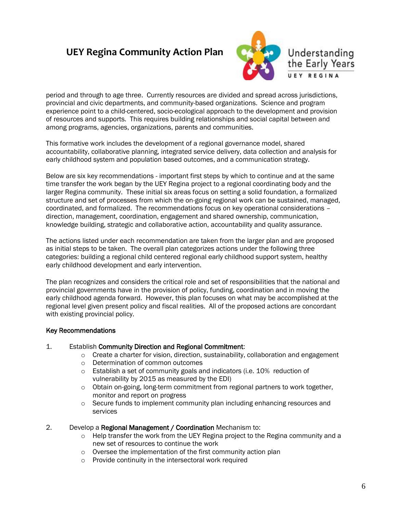

period and through to age three. Currently resources are divided and spread across jurisdictions, provincial and civic departments, and community-based organizations. Science and program experience point to a child-centered, socio-ecological approach to the development and provision of resources and supports. This requires building relationships and social capital between and among programs, agencies, organizations, parents and communities.

This formative work includes the development of a regional governance model, shared accountability, collaborative planning, integrated service delivery, data collection and analysis for early childhood system and population based outcomes, and a communication strategy.

Below are six key recommendations - important first steps by which to continue and at the same time transfer the work began by the UEY Regina project to a regional coordinating body and the larger Regina community. These initial six areas focus on setting a solid foundation, a formalized structure and set of processes from which the on-going regional work can be sustained, managed, coordinated, and formalized. The recommendations focus on key operational considerations – direction, management, coordination, engagement and shared ownership, communication, knowledge building, strategic and collaborative action, accountability and quality assurance.

The actions listed under each recommendation are taken from the larger plan and are proposed as initial steps to be taken. The overall plan categorizes actions under the following three categories: building a regional child centered regional early childhood support system, healthy early childhood development and early intervention.

The plan recognizes and considers the critical role and set of responsibilities that the national and provincial governments have in the provision of policy, funding, coordination and in moving the early childhood agenda forward. However, this plan focuses on what may be accomplished at the regional level given present policy and fiscal realities. All of the proposed actions are concordant with existing provincial policy.

### Key Recommendations

### 1. Establish Community Direction and Regional Commitment:

- $\circ$  Create a charter for vision, direction, sustainability, collaboration and engagement
- o Determination of common outcomes
- o Establish a set of community goals and indicators (i.e. 10% reduction of vulnerability by 2015 as measured by the EDI)
- $\circ$  Obtain on-going, long-term commitment from regional partners to work together, monitor and report on progress
- $\circ$  Secure funds to implement community plan including enhancing resources and services

#### 2. Develop a Regional Management / Coordination Mechanism to:

- $\circ$  Help transfer the work from the UEY Regina project to the Regina community and a new set of resources to continue the work
- o Oversee the implementation of the first community action plan
- o Provide continuity in the intersectoral work required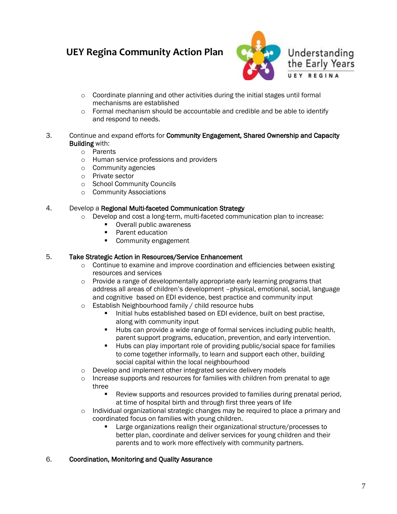

- o Coordinate planning and other activities during the initial stages until formal mechanisms are established
- $\circ$  Formal mechanism should be accountable and credible and be able to identify and respond to needs.
- 3. Continue and expand efforts for Community Engagement, Shared Ownership and Capacity Building with:
	- o Parents
	- o Human service professions and providers
	- o Community agencies
	- o Private sector
	- o School Community Councils
	- o Community Associations

#### 4. Develop a Regional Multi-faceted Communication Strategy

- o Develop and cost a long-term, multi-faceted communication plan to increase:
	- **•** Overall public awareness
	- Parent education
	- **Community engagement**

### 5. Take Strategic Action in Resources/Service Enhancement

- $\circ$  Continue to examine and improve coordination and efficiencies between existing resources and services
- o Provide a range of developmentally appropriate early learning programs that address all areas of children's development –physical, emotional, social, language and cognitive based on EDI evidence, best practice and community input
- o Establish Neighbourhood family / child resource hubs
	- Initial hubs established based on EDI evidence, built on best practise, along with community input
	- Hubs can provide a wide range of formal services including public health, parent support programs, education, prevention, and early intervention.
	- Hubs can play important role of providing public/social space for families to come together informally, to learn and support each other, building social capital within the local neighbourhood
- o Develop and implement other integrated service delivery models
- $\circ$  Increase supports and resources for families with children from prenatal to age three
	- Review supports and resources provided to families during prenatal period, at time of hospital birth and through first three years of life
- $\circ$  Individual organizational strategic changes may be required to place a primary and coordinated focus on families with young children.
	- Large organizations realign their organizational structure/processes to better plan, coordinate and deliver services for young children and their parents and to work more effectively with community partners.

### 6. Coordination, Monitoring and Quality Assurance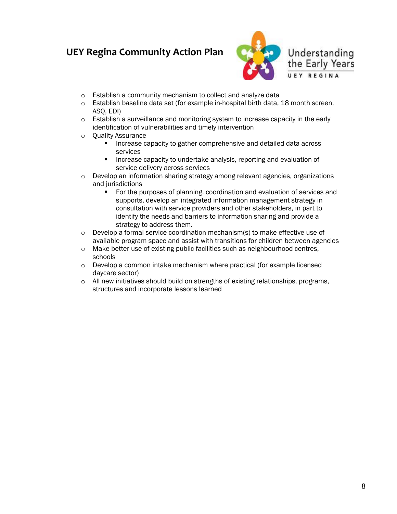

- o Establish a community mechanism to collect and analyze data
- o Establish baseline data set (for example in-hospital birth data, 18 month screen, ASQ, EDI)
- $\circ$  Establish a surveillance and monitoring system to increase capacity in the early identification of vulnerabilities and timely intervention
- o Quality Assurance
	- Increase capacity to gather comprehensive and detailed data across services
	- Increase capacity to undertake analysis, reporting and evaluation of service delivery across services
- o Develop an information sharing strategy among relevant agencies, organizations and jurisdictions
	- For the purposes of planning, coordination and evaluation of services and supports, develop an integrated information management strategy in consultation with service providers and other stakeholders, in part to identify the needs and barriers to information sharing and provide a strategy to address them.
- $\circ$  Develop a formal service coordination mechanism(s) to make effective use of available program space and assist with transitions for children between agencies
- o Make better use of existing public facilities such as neighbourhood centres, schools
- o Develop a common intake mechanism where practical (for example licensed daycare sector)
- o All new initiatives should build on strengths of existing relationships, programs, structures and incorporate lessons learned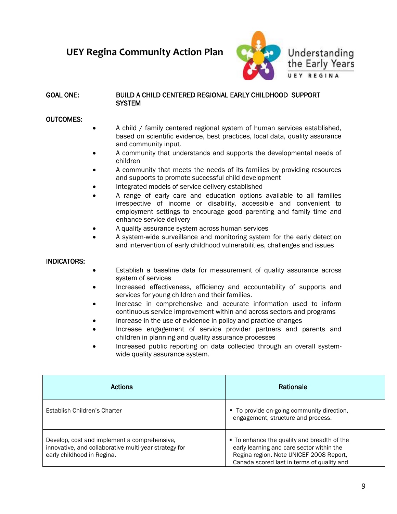

#### GOAL ONE: BUILD A CHILD CENTERED REGIONAL EARLY CHILDHOOD SUPPORT **SYSTEM**

#### OUTCOMES:

- A child / family centered regional system of human services established, based on scientific evidence, best practices, local data, quality assurance and community input.
- A community that understands and supports the developmental needs of children
- A community that meets the needs of its families by providing resources and supports to promote successful child development
- Integrated models of service delivery established
- A range of early care and education options available to all families irrespective of income or disability, accessible and convenient to employment settings to encourage good parenting and family time and enhance service delivery
- A quality assurance system across human services
- A system-wide surveillance and monitoring system for the early detection and intervention of early childhood vulnerabilities, challenges and issues

### INDICATORS:

- Establish a baseline data for measurement of quality assurance across system of services
- Increased effectiveness, efficiency and accountability of supports and services for young children and their families.
- Increase in comprehensive and accurate information used to inform continuous service improvement within and across sectors and programs
- Increase in the use of evidence in policy and practice changes
- Increase engagement of service provider partners and parents and children in planning and quality assurance processes
- Increased public reporting on data collected through an overall systemwide quality assurance system.

| Actions                                                                                                                             | Rationale                                                                                                                                                                         |
|-------------------------------------------------------------------------------------------------------------------------------------|-----------------------------------------------------------------------------------------------------------------------------------------------------------------------------------|
| Establish Children's Charter                                                                                                        | • To provide on-going community direction,<br>engagement, structure and process.                                                                                                  |
| Develop, cost and implement a comprehensive,<br>innovative, and collaborative multi-year strategy for<br>early childhood in Regina. | ■ To enhance the quality and breadth of the<br>early learning and care sector within the<br>Regina region. Note UNICEF 2008 Report,<br>Canada scored last in terms of quality and |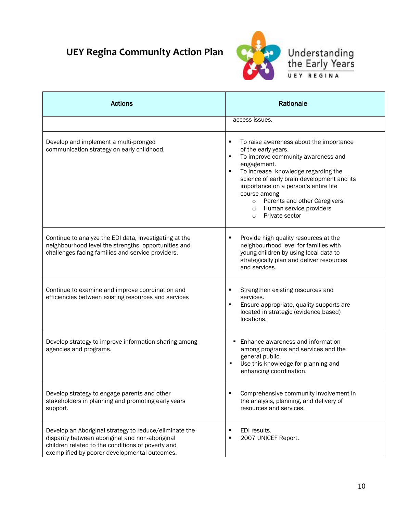

| <b>Actions</b>                                                                                                                                                                                                  | Rationale                                                                                                                                                                                                                                                                                                                                                                            |
|-----------------------------------------------------------------------------------------------------------------------------------------------------------------------------------------------------------------|--------------------------------------------------------------------------------------------------------------------------------------------------------------------------------------------------------------------------------------------------------------------------------------------------------------------------------------------------------------------------------------|
|                                                                                                                                                                                                                 | access issues.                                                                                                                                                                                                                                                                                                                                                                       |
| Develop and implement a multi-pronged<br>communication strategy on early childhood.                                                                                                                             | To raise awareness about the importance<br>٠<br>of the early years.<br>To improve community awareness and<br>٠<br>engagement.<br>To increase knowledge regarding the<br>٠<br>science of early brain development and its<br>importance on a person's entire life<br>course among<br>o Parents and other Caregivers<br>Human service providers<br>$\circ$<br>Private sector<br>$\circ$ |
| Continue to analyze the EDI data, investigating at the<br>neighbourhood level the strengths, opportunities and<br>challenges facing families and service providers.                                             | Provide high quality resources at the<br>٠<br>neighbourhood level for families with<br>young children by using local data to<br>strategically plan and deliver resources<br>and services.                                                                                                                                                                                            |
| Continue to examine and improve coordination and<br>efficiencies between existing resources and services                                                                                                        | Strengthen existing resources and<br>٠<br>services.<br>Ensure appropriate, quality supports are<br>٠<br>located in strategic (evidence based)<br>locations.                                                                                                                                                                                                                          |
| Develop strategy to improve information sharing among<br>agencies and programs.                                                                                                                                 | Enhance awareness and information<br>among programs and services and the<br>general public.<br>Use this knowledge for planning and<br>٠<br>enhancing coordination.                                                                                                                                                                                                                   |
| Develop strategy to engage parents and other<br>stakeholders in planning and promoting early years<br>support.                                                                                                  | Comprehensive community involvement in<br>the analysis, planning, and delivery of<br>resources and services.                                                                                                                                                                                                                                                                         |
| Develop an Aboriginal strategy to reduce/eliminate the<br>disparity between aboriginal and non-aboriginal<br>children related to the conditions of poverty and<br>exemplified by poorer developmental outcomes. | EDI results.<br>٠<br>2007 UNICEF Report.<br>٠                                                                                                                                                                                                                                                                                                                                        |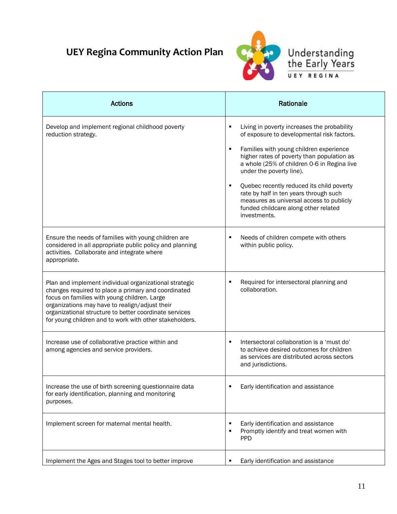

| <b>Actions</b>                                                                                                                                                                                                                                                                                                                       | Rationale                                                                                                                                                                                                                                                                                                                                                                                                                                                     |
|--------------------------------------------------------------------------------------------------------------------------------------------------------------------------------------------------------------------------------------------------------------------------------------------------------------------------------------|---------------------------------------------------------------------------------------------------------------------------------------------------------------------------------------------------------------------------------------------------------------------------------------------------------------------------------------------------------------------------------------------------------------------------------------------------------------|
| Develop and implement regional childhood poverty<br>reduction strategy.                                                                                                                                                                                                                                                              | Living in poverty increases the probability<br>of exposure to developmental risk factors.<br>Families with young children experience<br>higher rates of poverty than population as<br>a whole (25% of children 0-6 in Regina live<br>under the poverty line).<br>Quebec recently reduced its child poverty<br>٠<br>rate by half in ten years through such<br>measures as universal access to publicly<br>funded childcare along other related<br>investments. |
| Ensure the needs of families with young children are<br>considered in all appropriate public policy and planning<br>activities. Collaborate and integrate where<br>appropriate.                                                                                                                                                      | Needs of children compete with others<br>within public policy.                                                                                                                                                                                                                                                                                                                                                                                                |
| Plan and implement individual organizational strategic<br>changes required to place a primary and coordinated<br>focus on families with young children. Large<br>organizations may have to realign/adjust their<br>organizational structure to better coordinate services<br>for young children and to work with other stakeholders. | Required for intersectoral planning and<br>collaboration.                                                                                                                                                                                                                                                                                                                                                                                                     |
| Increase use of collaborative practice within and<br>among agencies and service providers.                                                                                                                                                                                                                                           | Intersectoral collaboration is a 'must do'<br>п<br>to achieve desired outcomes for children<br>as services are distributed across sectors<br>and jurisdictions.                                                                                                                                                                                                                                                                                               |
| Increase the use of birth screening questionnaire data<br>for early identification, planning and monitoring<br>purposes.                                                                                                                                                                                                             | Early identification and assistance                                                                                                                                                                                                                                                                                                                                                                                                                           |
| Implement screen for maternal mental health.                                                                                                                                                                                                                                                                                         | Early identification and assistance<br>П<br>Promptly identify and treat women with<br>٠<br><b>PPD</b>                                                                                                                                                                                                                                                                                                                                                         |
| Implement the Ages and Stages tool to better improve                                                                                                                                                                                                                                                                                 | Early identification and assistance<br>п                                                                                                                                                                                                                                                                                                                                                                                                                      |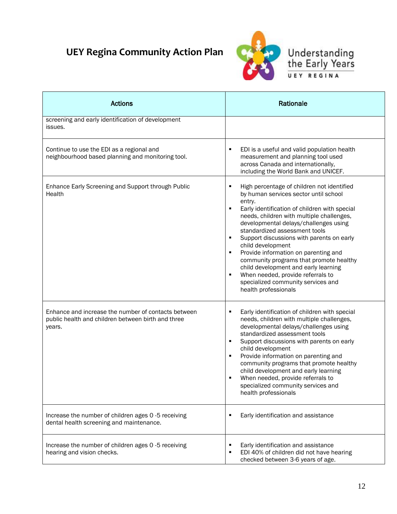

| <b>Actions</b>                                                                                                      | Rationale                                                                                                                                                                                                                                                                                                                                                                                                                                                                                                                                                                                      |
|---------------------------------------------------------------------------------------------------------------------|------------------------------------------------------------------------------------------------------------------------------------------------------------------------------------------------------------------------------------------------------------------------------------------------------------------------------------------------------------------------------------------------------------------------------------------------------------------------------------------------------------------------------------------------------------------------------------------------|
| screening and early identification of development<br>issues.                                                        |                                                                                                                                                                                                                                                                                                                                                                                                                                                                                                                                                                                                |
| Continue to use the EDI as a regional and<br>neighbourhood based planning and monitoring tool.                      | EDI is a useful and valid population health<br>٠<br>measurement and planning tool used<br>across Canada and internationally,<br>including the World Bank and UNICEF.                                                                                                                                                                                                                                                                                                                                                                                                                           |
| Enhance Early Screening and Support through Public<br>Health                                                        | High percentage of children not identified<br>г<br>by human services sector until school<br>entry.<br>Early identification of children with special<br>٠<br>needs, children with multiple challenges,<br>developmental delays/challenges using<br>standardized assessment tools<br>Support discussions with parents on early<br>٠<br>child development<br>Provide information on parenting and<br>٠<br>community programs that promote healthy<br>child development and early learning<br>When needed, provide referrals to<br>٠<br>specialized community services and<br>health professionals |
| Enhance and increase the number of contacts between<br>public health and children between birth and three<br>years. | Early identification of children with special<br>٠<br>needs, children with multiple challenges,<br>developmental delays/challenges using<br>standardized assessment tools<br>Support discussions with parents on early<br>п<br>child development<br>Provide information on parenting and<br>٠<br>community programs that promote healthy<br>child development and early learning<br>When needed, provide referrals to<br>٠<br>specialized community services and<br>health professionals                                                                                                       |
| Increase the number of children ages 0 -5 receiving<br>dental health screening and maintenance.                     | Early identification and assistance                                                                                                                                                                                                                                                                                                                                                                                                                                                                                                                                                            |
| Increase the number of children ages 0 -5 receiving<br>hearing and vision checks.                                   | Early identification and assistance<br>٠<br>EDI 40% of children did not have hearing<br>٠<br>checked between 3-6 years of age.                                                                                                                                                                                                                                                                                                                                                                                                                                                                 |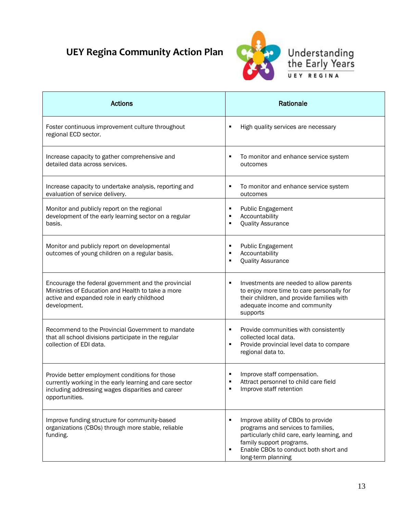

| <b>Actions</b>                                                                                                                                                                   | Rationale                                                                                                                                                                                                                     |
|----------------------------------------------------------------------------------------------------------------------------------------------------------------------------------|-------------------------------------------------------------------------------------------------------------------------------------------------------------------------------------------------------------------------------|
| Foster continuous improvement culture throughout<br>regional ECD sector.                                                                                                         | High quality services are necessary<br>٠                                                                                                                                                                                      |
| Increase capacity to gather comprehensive and<br>detailed data across services.                                                                                                  | To monitor and enhance service system<br>outcomes                                                                                                                                                                             |
| Increase capacity to undertake analysis, reporting and<br>evaluation of service delivery.                                                                                        | To monitor and enhance service system<br>٠<br>outcomes                                                                                                                                                                        |
| Monitor and publicly report on the regional<br>development of the early learning sector on a regular<br>basis.                                                                   | <b>Public Engagement</b><br>٠<br>Accountability<br>٠<br><b>Quality Assurance</b><br>$\blacksquare$                                                                                                                            |
| Monitor and publicly report on developmental<br>outcomes of young children on a regular basis.                                                                                   | <b>Public Engagement</b><br>٠<br>Accountability<br>٠<br><b>Quality Assurance</b>                                                                                                                                              |
| Encourage the federal government and the provincial<br>Ministries of Education and Health to take a more<br>active and expanded role in early childhood<br>development.          | Investments are needed to allow parents<br>to enjoy more time to care personally for<br>their children, and provide families with<br>adequate income and community<br>supports                                                |
| Recommend to the Provincial Government to mandate<br>that all school divisions participate in the regular<br>collection of EDI data.                                             | Provide communities with consistently<br>٠<br>collected local data.<br>Provide provincial level data to compare<br>٠<br>regional data to.                                                                                     |
| Provide better employment conditions for those<br>currently working in the early learning and care sector<br>including addressing wages disparities and career<br>opportunities. | Improve staff compensation.<br>Attract personnel to child care field<br>Improve staff retention                                                                                                                               |
| Improve funding structure for community-based<br>organizations (CBOs) through more stable, reliable<br>funding.                                                                  | Improve ability of CBOs to provide<br>٠<br>programs and services to families,<br>particularly child care, early learning, and<br>family support programs.<br>Enable CBOs to conduct both short and<br>٠<br>long-term planning |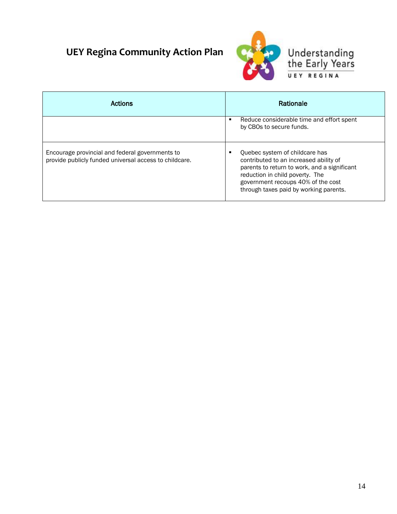

| Actions                                                                                                   | Rationale                                                                                                                                                                                                                                   |
|-----------------------------------------------------------------------------------------------------------|---------------------------------------------------------------------------------------------------------------------------------------------------------------------------------------------------------------------------------------------|
|                                                                                                           | Reduce considerable time and effort spent<br>п<br>by CBOs to secure funds.                                                                                                                                                                  |
| Encourage provincial and federal governments to<br>provide publicly funded universal access to childcare. | Quebec system of childcare has<br>contributed to an increased ability of<br>parents to return to work, and a significant<br>reduction in child poverty. The<br>government recoups 40% of the cost<br>through taxes paid by working parents. |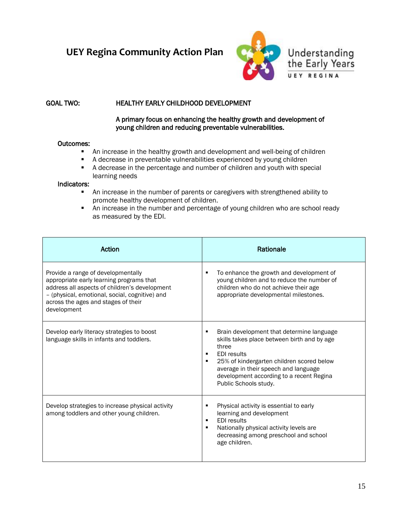

### GOAL TWO: HEALTHY EARLY CHILDHOOD DEVELOPMENT

#### A primary focus on enhancing the healthy growth and development of young children and reducing preventable vulnerabilities.

#### Outcomes:

- An increase in the healthy growth and development and well-being of children
- A decrease in preventable vulnerabilities experienced by young children
- A decrease in the percentage and number of children and youth with special learning needs

#### Indicators:

- An increase in the number of parents or caregivers with strengthened ability to promote healthy development of children.
- **An increase in the number and percentage of young children who are school ready** as measured by the EDI.

| Action                                                                                                                                                                                                                                  | Rationale                                                                                                                                                                                                                                                                              |
|-----------------------------------------------------------------------------------------------------------------------------------------------------------------------------------------------------------------------------------------|----------------------------------------------------------------------------------------------------------------------------------------------------------------------------------------------------------------------------------------------------------------------------------------|
| Provide a range of developmentally<br>appropriate early learning programs that<br>address all aspects of children's development<br>- (physical, emotional, social, cognitive) and<br>across the ages and stages of their<br>development | To enhance the growth and development of<br>young children and to reduce the number of<br>children who do not achieve their age<br>appropriate developmental milestones.                                                                                                               |
| Develop early literacy strategies to boost<br>language skills in infants and toddlers.                                                                                                                                                  | Brain development that determine language<br>skills takes place between birth and by age<br>three<br><b>EDI</b> results<br>٠<br>25% of kindergarten children scored below<br>average in their speech and language<br>development according to a recent Regina<br>Public Schools study. |
| Develop strategies to increase physical activity<br>among toddlers and other young children.                                                                                                                                            | Physical activity is essential to early<br>٠<br>learning and development<br><b>EDI</b> results<br>$\blacksquare$<br>Nationally physical activity levels are<br>٠<br>decreasing among preschool and school<br>age children.                                                             |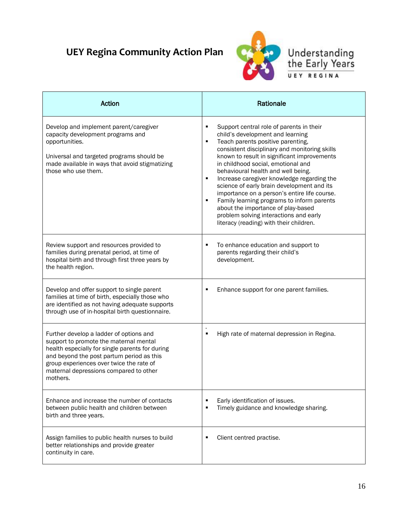

### Understanding<br>the Early Years UEY REGINA

| Action                                                                                                                                                                                                                                                                              | Rationale                                                                                                                                                                                                                                                                                                                                                                                                                                                                                                                                                                                                                                                        |
|-------------------------------------------------------------------------------------------------------------------------------------------------------------------------------------------------------------------------------------------------------------------------------------|------------------------------------------------------------------------------------------------------------------------------------------------------------------------------------------------------------------------------------------------------------------------------------------------------------------------------------------------------------------------------------------------------------------------------------------------------------------------------------------------------------------------------------------------------------------------------------------------------------------------------------------------------------------|
| Develop and implement parent/caregiver<br>capacity development programs and<br>opportunities.<br>Universal and targeted programs should be<br>made available in ways that avoid stigmatizing<br>those who use them.                                                                 | ٠<br>Support central role of parents in their<br>child's development and learning<br>Teach parents positive parenting,<br>٠<br>consistent disciplinary and monitoring skills<br>known to result in significant improvements<br>in childhood social, emotional and<br>behavioural health and well being.<br>Increase caregiver knowledge regarding the<br>$\blacksquare$<br>science of early brain development and its<br>importance on a person's entire life course.<br>$\blacksquare$<br>Family learning programs to inform parents<br>about the importance of play-based<br>problem solving interactions and early<br>literacy (reading) with their children. |
| Review support and resources provided to<br>families during prenatal period, at time of<br>hospital birth and through first three years by<br>the health region.                                                                                                                    | To enhance education and support to<br>٠<br>parents regarding their child's<br>development.                                                                                                                                                                                                                                                                                                                                                                                                                                                                                                                                                                      |
| Develop and offer support to single parent<br>families at time of birth, especially those who<br>are identified as not having adequate supports<br>through use of in-hospital birth questionnaire.                                                                                  | Enhance support for one parent families.                                                                                                                                                                                                                                                                                                                                                                                                                                                                                                                                                                                                                         |
| Further develop a ladder of options and<br>support to promote the maternal mental<br>health especially for single parents for during<br>and beyond the post partum period as this<br>group experiences over twice the rate of<br>maternal depressions compared to other<br>mothers. | High rate of maternal depression in Regina.<br>٠                                                                                                                                                                                                                                                                                                                                                                                                                                                                                                                                                                                                                 |
| Enhance and increase the number of contacts<br>between public health and children between<br>birth and three years.                                                                                                                                                                 | Early identification of issues.<br>٠<br>Timely guidance and knowledge sharing.<br>٠                                                                                                                                                                                                                                                                                                                                                                                                                                                                                                                                                                              |
| Assign families to public health nurses to build<br>better relationships and provide greater<br>continuity in care.                                                                                                                                                                 | Client centred practise.<br>٠                                                                                                                                                                                                                                                                                                                                                                                                                                                                                                                                                                                                                                    |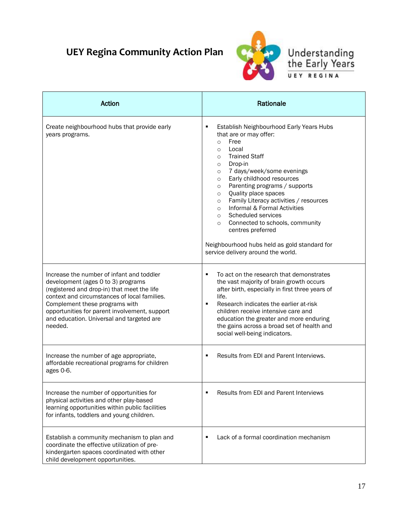

Understanding<br>the Early Years UEY REGINA

| Action                                                                                                                                                                                                                                                                                                                    | Rationale                                                                                                                                                                                                                                                                                                                                                                                                                                                                                                                                                                                                                        |
|---------------------------------------------------------------------------------------------------------------------------------------------------------------------------------------------------------------------------------------------------------------------------------------------------------------------------|----------------------------------------------------------------------------------------------------------------------------------------------------------------------------------------------------------------------------------------------------------------------------------------------------------------------------------------------------------------------------------------------------------------------------------------------------------------------------------------------------------------------------------------------------------------------------------------------------------------------------------|
| Create neighbourhood hubs that provide early<br>years programs.                                                                                                                                                                                                                                                           | Establish Neighbourhood Early Years Hubs<br>٠<br>that are or may offer:<br>Free<br>$\circ$<br>Local<br>$\circ$<br><b>Trained Staff</b><br>$\circ$<br>Drop-in<br>$\circ$<br>7 days/week/some evenings<br>$\circ$<br>Early childhood resources<br>$\circ$<br>Parenting programs / supports<br>$\circ$<br>Quality place spaces<br>$\circ$<br>Family Literacy activities / resources<br>$\circ$<br>Informal & Formal Activities<br>$\circ$<br>Scheduled services<br>$\circ$<br>Connected to schools, community<br>$\circ$<br>centres preferred<br>Neighbourhood hubs held as gold standard for<br>service delivery around the world. |
| Increase the number of infant and toddler<br>development (ages 0 to 3) programs<br>(registered and drop-in) that meet the life<br>context and circumstances of local families.<br>Complement these programs with<br>opportunities for parent involvement, support<br>and education. Universal and targeted are<br>needed. | To act on the research that demonstrates<br>٠<br>the vast majority of brain growth occurs<br>after birth, especially in first three years of<br>life.<br>Research indicates the earlier at-risk<br>٠<br>children receive intensive care and<br>education the greater and more enduring<br>the gains across a broad set of health and<br>social well-being indicators.                                                                                                                                                                                                                                                            |
| Increase the number of age appropriate,<br>affordable recreational programs for children<br>ages 0-6.                                                                                                                                                                                                                     | Results from EDI and Parent Interviews.                                                                                                                                                                                                                                                                                                                                                                                                                                                                                                                                                                                          |
| Increase the number of opportunities for<br>physical activities and other play-based<br>learning opportunities within public facilities<br>for infants, toddlers and young children.                                                                                                                                      | <b>Results from EDI and Parent Interviews</b>                                                                                                                                                                                                                                                                                                                                                                                                                                                                                                                                                                                    |
| Establish a community mechanism to plan and<br>coordinate the effective utilization of pre-<br>kindergarten spaces coordinated with other<br>child development opportunities.                                                                                                                                             | Lack of a formal coordination mechanism                                                                                                                                                                                                                                                                                                                                                                                                                                                                                                                                                                                          |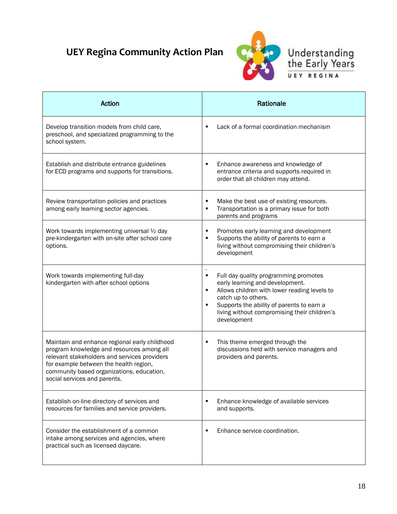

### Understanding<br>the Early Years UEY REGINA

| <b>Action</b>                                                                                                                                                                                                                                                     | Rationale                                                                                                                                                                                                                                                                  |
|-------------------------------------------------------------------------------------------------------------------------------------------------------------------------------------------------------------------------------------------------------------------|----------------------------------------------------------------------------------------------------------------------------------------------------------------------------------------------------------------------------------------------------------------------------|
| Develop transition models from child care,<br>preschool, and specialized programming to the<br>school system.                                                                                                                                                     | Lack of a formal coordination mechanism<br>٠                                                                                                                                                                                                                               |
| Establish and distribute entrance guidelines<br>for ECD programs and supports for transitions.                                                                                                                                                                    | Enhance awareness and knowledge of<br>٠<br>entrance criteria and supports required in<br>order that all children may attend.                                                                                                                                               |
| Review transportation policies and practices<br>among early learning sector agencies.                                                                                                                                                                             | Make the best use of existing resources.<br>٠<br>Transportation is a primary issue for both<br>٠<br>parents and programs                                                                                                                                                   |
| Work towards implementing universal 1/2 day<br>pre-kindergarten with on-site after school care<br>options.                                                                                                                                                        | Promotes early learning and development<br>٠<br>Supports the ability of parents to earn a<br>living without compromising their children's<br>development                                                                                                                   |
| Work towards implementing full-day<br>kindergarten with after school options                                                                                                                                                                                      | Full day quality programming promotes<br>٠<br>early learning and development.<br>Allows children with lower reading levels to<br>٠<br>catch up to others.<br>Supports the ability of parents to earn a<br>٠<br>living without compromising their children's<br>development |
| Maintain and enhance regional early childhood<br>program knowledge and resources among all<br>relevant stakeholders and services providers<br>for example between the health region,<br>community based organizations, education,<br>social services and parents. | This theme emerged through the<br>٠<br>discussions held with service managers and<br>providers and parents.                                                                                                                                                                |
| Establish on-line directory of services and<br>resources for families and service providers.                                                                                                                                                                      | Enhance knowledge of available services<br>and supports.                                                                                                                                                                                                                   |
| Consider the establishment of a common<br>intake among services and agencies, where<br>practical such as licensed daycare.                                                                                                                                        | Enhance service coordination.<br>٠                                                                                                                                                                                                                                         |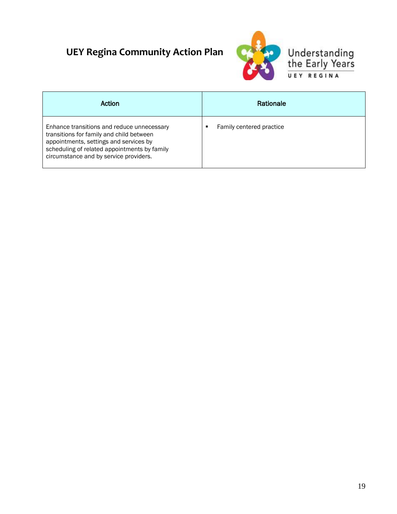

| Action                                                                                                                                                                                                                     | Rationale                |
|----------------------------------------------------------------------------------------------------------------------------------------------------------------------------------------------------------------------------|--------------------------|
| Enhance transitions and reduce unnecessary<br>transitions for family and child between<br>appointments, settings and services by<br>scheduling of related appointments by family<br>circumstance and by service providers. | Family centered practice |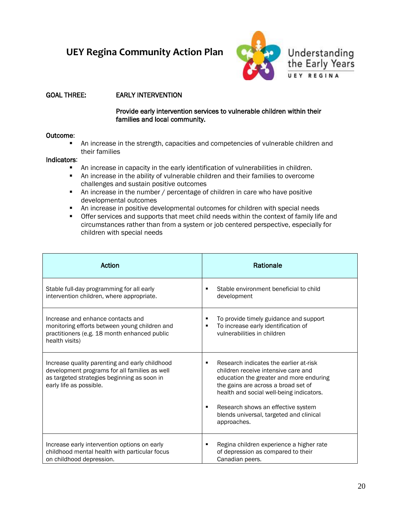

### GOAL THREE: EARLY INTERVENTION

#### Provide early intervention services to vulnerable children within their families and local community.

#### Outcome:

 An increase in the strength, capacities and competencies of vulnerable children and their families

#### Indicators:

- An increase in capacity in the early identification of vulnerabilities in children.
- An increase in the ability of vulnerable children and their families to overcome challenges and sustain positive outcomes
- An increase in the number / percentage of children in care who have positive developmental outcomes
- An increase in positive developmental outcomes for children with special needs
- Offer services and supports that meet child needs within the context of family life and circumstances rather than from a system or job centered perspective, especially for children with special needs

| Action                                                                                                                                                                    | Rationale                                                                                                                                                                                                                                                                                                   |
|---------------------------------------------------------------------------------------------------------------------------------------------------------------------------|-------------------------------------------------------------------------------------------------------------------------------------------------------------------------------------------------------------------------------------------------------------------------------------------------------------|
| Stable full-day programming for all early<br>intervention children, where appropriate.                                                                                    | Stable environment beneficial to child<br>г<br>development                                                                                                                                                                                                                                                  |
| Increase and enhance contacts and<br>monitoring efforts between young children and<br>practitioners (e.g. 18 month enhanced public<br>health visits)                      | To provide timely guidance and support<br>To increase early identification of<br>٠<br>vulnerabilities in children                                                                                                                                                                                           |
| Increase quality parenting and early childhood<br>development programs for all families as well<br>as targeted strategies beginning as soon in<br>early life as possible. | Research indicates the earlier at-risk<br>children receive intensive care and<br>education the greater and more enduring<br>the gains are across a broad set of<br>health and social well-being indicators.<br>Research shows an effective system<br>blends universal, targeted and clinical<br>approaches. |
| Increase early intervention options on early<br>childhood mental health with particular focus<br>on childhood depression.                                                 | Regina children experience a higher rate<br>of depression as compared to their<br>Canadian peers.                                                                                                                                                                                                           |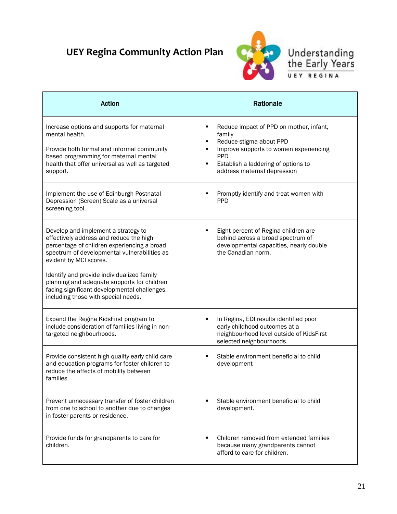

### Understanding<br>the Early Years REGINA UEY

| Action                                                                                                                                                                                                                                                                                                                                                                                      | Rationale                                                                                                                                                                                                                                   |
|---------------------------------------------------------------------------------------------------------------------------------------------------------------------------------------------------------------------------------------------------------------------------------------------------------------------------------------------------------------------------------------------|---------------------------------------------------------------------------------------------------------------------------------------------------------------------------------------------------------------------------------------------|
| Increase options and supports for maternal<br>mental health.<br>Provide both formal and informal community<br>based programming for maternal mental<br>health that offer universal as well as targeted<br>support.                                                                                                                                                                          | Reduce impact of PPD on mother, infant,<br>٠<br>family<br>Reduce stigma about PPD<br>٠<br>Improve supports to women experiencing<br>$\blacksquare$<br><b>PPD</b><br>Establish a laddering of options to<br>٠<br>address maternal depression |
| Implement the use of Edinburgh Postnatal<br>Depression (Screen) Scale as a universal<br>screening tool.                                                                                                                                                                                                                                                                                     | Promptly identify and treat women with<br><b>PPD</b>                                                                                                                                                                                        |
| Develop and implement a strategy to<br>effectively address and reduce the high<br>percentage of children experiencing a broad<br>spectrum of developmental vulnerabilities as<br>evident by MCI scores.<br>Identify and provide individualized family<br>planning and adequate supports for children<br>facing significant developmental challenges,<br>including those with special needs. | Eight percent of Regina children are<br>٠<br>behind across a broad spectrum of<br>developmental capacities, nearly double<br>the Canadian norm.                                                                                             |
| Expand the Regina KidsFirst program to<br>include consideration of families living in non-<br>targeted neighbourhoods.                                                                                                                                                                                                                                                                      | In Regina, EDI results identified poor<br>٠<br>early childhood outcomes at a<br>neighbourhood level outside of KidsFirst<br>selected neighbourhoods.                                                                                        |
| Provide consistent high quality early child care<br>and education programs for foster children to<br>reduce the affects of mobility between<br>families.                                                                                                                                                                                                                                    | Stable environment beneficial to child<br>$\blacksquare$<br>development                                                                                                                                                                     |
| Prevent unnecessary transfer of foster children<br>from one to school to another due to changes<br>in foster parents or residence.                                                                                                                                                                                                                                                          | Stable environment beneficial to child<br>development.                                                                                                                                                                                      |
| Provide funds for grandparents to care for<br>children.                                                                                                                                                                                                                                                                                                                                     | Children removed from extended families<br>$\blacksquare$<br>because many grandparents cannot<br>afford to care for children.                                                                                                               |